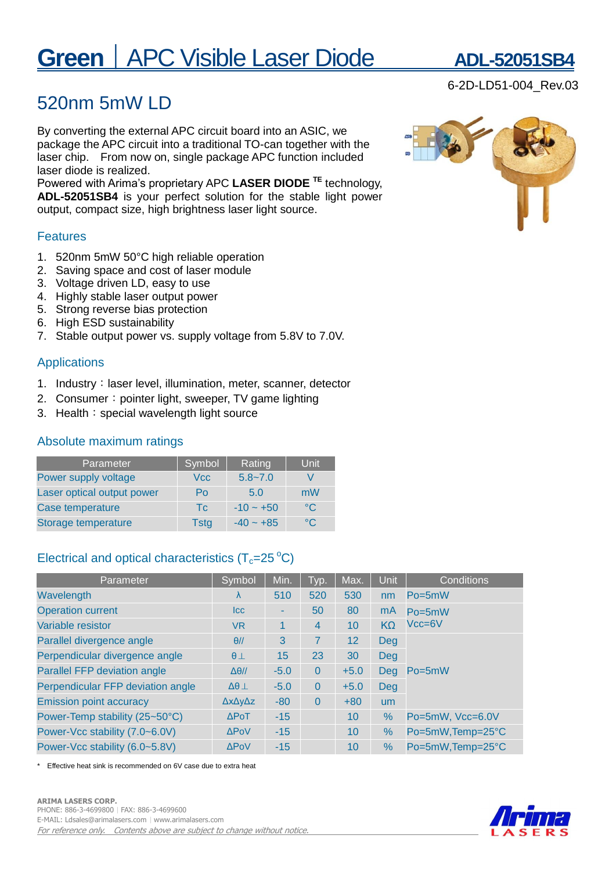# **Green** | APC Visible Laser Diode **ADL-52051SB**

## 520nm 5mW LD

By converting the external APC circuit board into an ASIC, we package the APC circuit into a traditional TO-can together with the laser chip. From now on, single package APC function included laser diode is realized.

Powered with Arima's proprietary APC **LASER DIODE TE** technology, **ADL-52051SB4** is your perfect solution for the stable light power output, compact size, high brightness laser light source.

#### Features

- 1. 520nm 5mW 50°C high reliable operation
- 2. Saving space and cost of laser module
- 3. Voltage driven LD, easy to use
- 4. Highly stable laser output power
- 5. Strong reverse bias protection
- 6. High ESD sustainability
- 7. Stable output power vs. supply voltage from 5.8V to 7.0V.

#### Applications

- 1. Industry: laser level, illumination, meter, scanner, detector
- 2. Consumer: pointer light, sweeper, TV game lighting
- 3. Health: special wavelength light source

#### Absolute maximum ratings

| Parameter                  | Symbol      | Rating         | Unit         |
|----------------------------|-------------|----------------|--------------|
| Power supply voltage       | <b>Vcc</b>  | $5.8 - 7.0$    |              |
| Laser optical output power | Po          | 5.0            | mW           |
| Case temperature           | Tc.         | $-10 \sim +50$ | $^{\circ}$ C |
| Storage temperature        | <b>Tstg</b> | $-40 - +85$    | °C.          |

### Electrical and optical characteristics  $(T_c=25\degree C)$

| Parameter                         | Symbol            | Min.   | Typ.           | Max.   | Unit      | <b>Conditions</b>        |  |
|-----------------------------------|-------------------|--------|----------------|--------|-----------|--------------------------|--|
| Wavelength                        | $\lambda$         | 510    | 520            | 530    | nm        | $Po = 5mW$               |  |
| <b>Operation current</b>          | <b>Icc</b>        |        | 50             | 80     | mA        | $Po = 5mW$<br>$Vcc = 6V$ |  |
| Variable resistor                 | <b>VR</b>         | 1      | $\overline{4}$ | 10     | $K\Omega$ |                          |  |
| Parallel divergence angle         | $\theta$ //       | 3      | 7              | 12     | Deg       |                          |  |
| Perpendicular divergence angle    | $\theta$ $\perp$  | 15     | 23             | 30     | Deg       | $Po = 5mW$               |  |
| Parallel FFP deviation angle      | $\Delta\theta$ // | $-5.0$ | $\Omega$       | $+5.0$ | Deg       |                          |  |
| Perpendicular FFP deviation angle | $\Delta\theta$    | $-5.0$ | $\overline{0}$ | $+5.0$ | Deg       |                          |  |
| <b>Emission point accuracy</b>    | ΔχΔγΔz            | $-80$  | $\Omega$       | $+80$  | <b>um</b> |                          |  |
| Power-Temp stability (25~50°C)    | $\triangle$ PoT   | $-15$  |                | 10     | $\%$      | Po=5mW, Vcc=6.0V         |  |
| Power-Vcc stability (7.0~6.0V)    | <b>APoV</b>       | $-15$  |                | 10     | %         | Po=5mW, Temp=25°C        |  |
| Power-Vcc stability (6.0~5.8V)    | <b>APoV</b>       | $-15$  |                | 10     | %         | Po=5mW, Temp=25°C        |  |

Effective heat sink is recommended on 6V case due to extra heat







#### 6-2D-LD51-004\_Rev.03